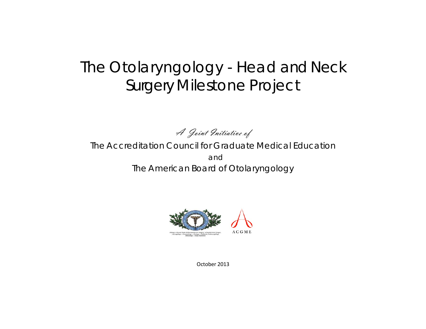# The Otolaryngology - Head and Neck Surgery Milestone Project

A Joint Initiative of

The Accreditation Council for Graduate Medical Education and The American Board of Otolaryngology



October 2013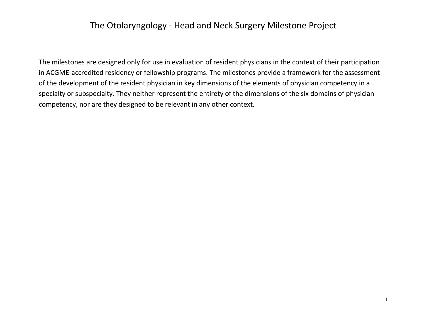## The Otolaryngology - Head and Neck Surgery Milestone Project

The milestones are designed only for use in evaluation of resident physicians in the context of their participation in ACGME-accredited residency or fellowship programs. The milestones provide a framework for the assessment of the development of the resident physician in key dimensions of the elements of physician competency in a specialty or subspecialty. They neither represent the entirety of the dimensions of the six domains of physician competency, nor are they designed to be relevant in any other context.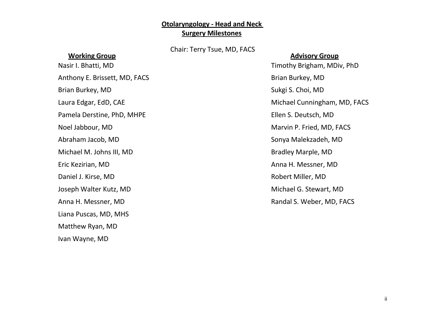### **Otolaryngology - Head and Neck Surgery Milestones**

Chair: Terry Tsue, MD, FACS

#### **Working Group**

Anthony E. Brissett, MD, FACS Brian Burkey, MD Brian Burkey, MD Sukgi S. Choi, MD Pamela Derstine, PhD, MHPE Ellen S. Deutsch, MD Noel Jabbour, MD Marvin P. Fried, MD, FACS Abraham Jacob, MD Sonya Malekzadeh, MD Michael M. Johns III, MD Bradley Marple, MD Eric Kezirian, MD Anna H. Messner, MD Daniel J. Kirse, MD **Robert Miller**, MD Joseph Walter Kutz, MD **Michael G. Stewart, MD** Anna H. Messner, MD **Randal S. Weber, MD, FACS** Liana Puscas, MD, MHS Matthew Ryan, MD Ivan Wayne, MD

#### **Advisory Group**

Nasir I. Bhatti, MD **Timothy Brigham, MDiv, PhD** Laura Edgar, EdD, CAE **Michael Cunningham, MD, FACS**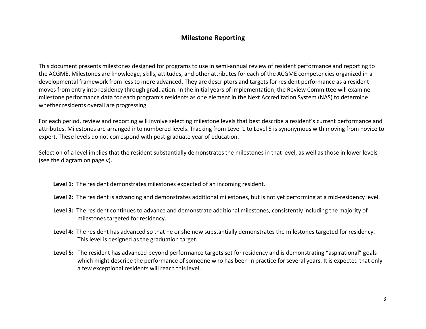#### **Milestone Reporting**

This document presents milestones designed for programs to use in semi-annual review of resident performance and reporting to the ACGME. Milestones are knowledge, skills, attitudes, and other attributes for each of the ACGME competencies organized in a developmental framework from less to more advanced. They are descriptors and targets for resident performance as a resident moves from entry into residency through graduation. In the initial years of implementation, the Review Committee will examine milestone performance data for each program's residents as one element in the Next Accreditation System (NAS) to determine whether residents overall are progressing.

For each period, review and reporting will involve selecting milestone levels that best describe a resident's current performance and attributes. Milestones are arranged into numbered levels. Tracking from Level 1 to Level 5 is synonymous with moving from novice to expert. These levels do not correspond with post-graduate year of education.

Selection of a level implies that the resident substantially demonstrates the milestones in that level, as well as those in lower levels (see the diagram on page v).

- **Level 1:** The resident demonstrates milestones expected of an incoming resident.
- **Level 2:** The resident is advancing and demonstrates additional milestones, but is not yet performing at a mid-residency level.
- **Level 3:** The resident continues to advance and demonstrate additional milestones, consistently including the majority of milestones targeted for residency.
- **Level 4:** The resident has advanced so that he or she now substantially demonstrates the milestones targeted for residency. This level is designed as the graduation target.
- **Level 5:** The resident has advanced beyond performance targets set for residency and is demonstrating "aspirational" goals which might describe the performance of someone who has been in practice for several years. It is expected that only a few exceptional residents will reach this level.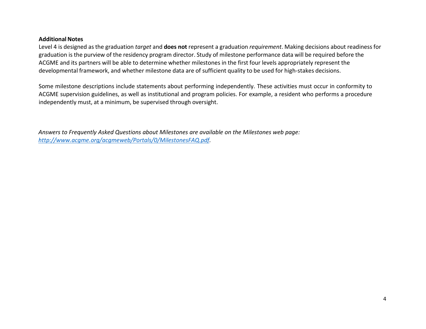#### **Additional Notes**

Level 4 is designed as the graduation *target* and **does not** represent a graduation *requirement*. Making decisions about readinessfor graduation is the purview of the residency program director. Study of milestone performance data will be required before the ACGME and its partners will be able to determine whether milestones in the first four levels appropriately represent the developmental framework, and whether milestone data are of sufficient quality to be used for high-stakes decisions.

Some milestone descriptions include statements about performing independently. These activities must occur in conformity to ACGME supervision guidelines, as well as institutional and program policies. For example, a resident who performs a procedure independently must, at a minimum, be supervised through oversight.

*Answers to Frequently Asked Questions about Milestones are available on the Milestones web page: [http://www.acgme.org/acgmeweb/Portals/0/MilestonesFAQ.pdf.](http://www.acgme.org/acgmeweb/Portals/0/MilestonesFAQ.pdf)*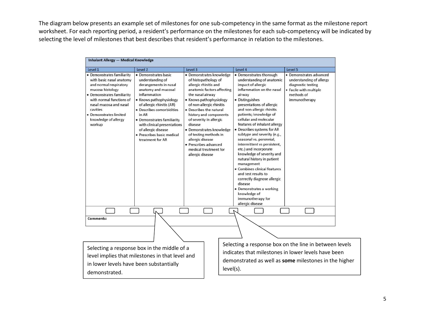The diagram below presents an example set of milestones for one sub-competency in the same format as the milestone report worksheet. For each reporting period, a resident's performance on the milestones for each sub-competency will be indicated by selecting the level of milestones that best describes that resident's performance in relation to the milestones.

| Level 1                                                                                                                                                                                                                                                          | Level <sub>2</sub>                                                                                                                                                                                                                                                                                                                           | Level 3                                                                                                                                                                                                                                                                                                                                                                                                                      | Level 4                                                                                                                                                                                                                                                                                                                                                                                                                                                                                                                                                                                                                                                                                       | Level 5                                                                                                                                                                |
|------------------------------------------------------------------------------------------------------------------------------------------------------------------------------------------------------------------------------------------------------------------|----------------------------------------------------------------------------------------------------------------------------------------------------------------------------------------------------------------------------------------------------------------------------------------------------------------------------------------------|------------------------------------------------------------------------------------------------------------------------------------------------------------------------------------------------------------------------------------------------------------------------------------------------------------------------------------------------------------------------------------------------------------------------------|-----------------------------------------------------------------------------------------------------------------------------------------------------------------------------------------------------------------------------------------------------------------------------------------------------------------------------------------------------------------------------------------------------------------------------------------------------------------------------------------------------------------------------------------------------------------------------------------------------------------------------------------------------------------------------------------------|------------------------------------------------------------------------------------------------------------------------------------------------------------------------|
| • Demonstrates familiarity<br>with basic nasal anatomy<br>and normal respiratory<br>mucosa histology<br>• Demonstrates familiarity<br>with normal functions of<br>nasal mucosa and nasal<br>cavities<br>· Demonstrates limited<br>knowledge of allergy<br>workup | · Demonstrates basic<br>understanding of<br>derangements in nasal<br>anatomy and mucosal<br>inflammation<br>• Knows pathophysiology<br>of allergic rhinitis (AR)<br>• Describes comorbidities<br>in AR<br>• Demonstrates familiarity<br>with clinical presentations<br>of allergic disease<br>· Prescribes basic medical<br>treatment for AR | · Demonstrates knowledge<br>of histopathology of<br>allergic rhinitis and<br>anatomic factors affecting<br>the nasal airway<br>• Knows pathophysiology<br>of non-allergic rhinitis<br>• Describes the natural<br>history and components<br>of severity in allergic<br>disease<br>· Demonstrates knowledge<br>of testing methods in<br>allergic disease<br>· Prescribes advanced<br>medical treatment for<br>allergic disease | • Demonstrates thorough<br>understanding of anatomic<br>impact of allergic<br>inflammation on the nasal<br>airway<br>• Distinguishes<br>presentations of allergic<br>and non-allergic rhinitis<br>patients; knowledge of<br>cellular and molecular<br>features of inhalant allergy<br>Describes systems for AR<br>subtype and severity (e.g.,<br>seasonal vs. perennial,<br>intermittent vs persistent,<br>etc.) and incorporate<br>knowledge of severity and<br>natural history in patient<br>management<br>• Combines clinical features<br>and test results to<br>correctly diagnose allergic<br>disease<br>Demonstrates a working<br>knowledge of<br>immunotherapy for<br>allergic disease | · Demonstrates advanced<br>understanding of allergy<br>diagnostic testing<br>• Facile with multiple<br>methods of<br>immunotherapy                                     |
|                                                                                                                                                                                                                                                                  |                                                                                                                                                                                                                                                                                                                                              |                                                                                                                                                                                                                                                                                                                                                                                                                              |                                                                                                                                                                                                                                                                                                                                                                                                                                                                                                                                                                                                                                                                                               |                                                                                                                                                                        |
| <b>Comments:</b>                                                                                                                                                                                                                                                 |                                                                                                                                                                                                                                                                                                                                              |                                                                                                                                                                                                                                                                                                                                                                                                                              |                                                                                                                                                                                                                                                                                                                                                                                                                                                                                                                                                                                                                                                                                               |                                                                                                                                                                        |
| in lower levels have been substantially<br>demonstrated.                                                                                                                                                                                                         | Selecting a response box in the middle of a<br>level implies that milestones in that level and                                                                                                                                                                                                                                               |                                                                                                                                                                                                                                                                                                                                                                                                                              | level(s).                                                                                                                                                                                                                                                                                                                                                                                                                                                                                                                                                                                                                                                                                     | Selecting a response box on the line in between levels<br>indicates that milestones in lower levels have been<br>demonstrated as well as some milestones in the higher |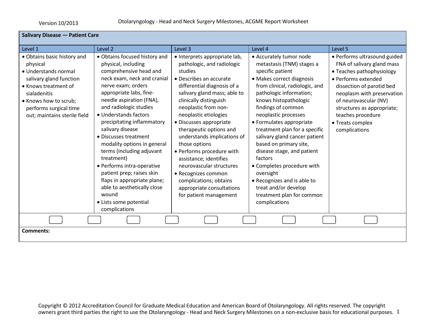| <b>Salivary Disease - Patient Care</b>                                                                                                                                                                                |                                                                                                                                                                                                                                                                                                                                                                                                                                                                                                                                                                                 |                                                                                                                                                                                                                                                                                                                                                                                                                                                                                                                                              |                                                                                                                                                                                                                                                                                                                                                                                                                                                                                                                                                            |                                                                                                                                                                                                                                                                                            |
|-----------------------------------------------------------------------------------------------------------------------------------------------------------------------------------------------------------------------|---------------------------------------------------------------------------------------------------------------------------------------------------------------------------------------------------------------------------------------------------------------------------------------------------------------------------------------------------------------------------------------------------------------------------------------------------------------------------------------------------------------------------------------------------------------------------------|----------------------------------------------------------------------------------------------------------------------------------------------------------------------------------------------------------------------------------------------------------------------------------------------------------------------------------------------------------------------------------------------------------------------------------------------------------------------------------------------------------------------------------------------|------------------------------------------------------------------------------------------------------------------------------------------------------------------------------------------------------------------------------------------------------------------------------------------------------------------------------------------------------------------------------------------------------------------------------------------------------------------------------------------------------------------------------------------------------------|--------------------------------------------------------------------------------------------------------------------------------------------------------------------------------------------------------------------------------------------------------------------------------------------|
| Level 1                                                                                                                                                                                                               | Level 2                                                                                                                                                                                                                                                                                                                                                                                                                                                                                                                                                                         | Level 3                                                                                                                                                                                                                                                                                                                                                                                                                                                                                                                                      | Level 4                                                                                                                                                                                                                                                                                                                                                                                                                                                                                                                                                    | Level 5                                                                                                                                                                                                                                                                                    |
| • Obtains basic history and<br>physical<br>· Understands normal<br>salivary gland function<br>• Knows treatment of<br>sialadenitis<br>• Knows how to scrub;<br>performs surgical time<br>out; maintains sterile field | • Obtains focused history and<br>physical, including<br>comprehensive head and<br>neck exam, neck and cranial<br>nerve exam; orders<br>appropriate labs, fine-<br>needle aspiration (FNA),<br>and radiologic studies<br>• Understands factors<br>precipitating inflammatory<br>salivary disease<br>• Discusses treatment<br>modality options in general<br>terms (including adjuvant<br>treatment)<br>• Performs intra-operative<br>patient prep; raises skin<br>flaps in appropriate plane;<br>able to aesthetically close<br>wound<br>• Lists some potential<br>complications | · Interprets appropriate lab,<br>pathologic, and radiologic<br>studies<br>• Describes an accurate<br>differential diagnosis of a<br>salivary gland mass; able to<br>clinically distinguish<br>neoplastic from non-<br>neoplastic etiologies<br>• Discusses appropriate<br>therapeutic options and<br>understands implications of<br>those options<br>• Performs procedure with<br>assistance; identifies<br>neurovascular structures<br>• Recognizes common<br>complications; obtains<br>appropriate consultations<br>for patient management | • Accurately tumor node<br>metastasis (TNM) stages a<br>specific patient<br>• Makes correct diagnosis<br>from clinical, radiologic, and<br>pathologic information;<br>knows histopathologic<br>findings of common<br>neoplastic processes<br>• Formulates appropriate<br>treatment plan for a specific<br>salivary gland cancer patient<br>based on primary site,<br>disease stage, and patient<br>factors<br>• Completes procedure with<br>oversight<br>• Recognizes and is able to<br>treat and/or develop<br>treatment plan for common<br>complications | • Performs ultrasound guided<br>FNA of salivary gland mass<br>• Teaches pathophysiology<br>• Performs extended<br>dissection of parotid bed<br>neoplasm with preservation<br>of neurovascular (NV)<br>structures as appropriate;<br>teaches procedure<br>• Treats complex<br>complications |
|                                                                                                                                                                                                                       |                                                                                                                                                                                                                                                                                                                                                                                                                                                                                                                                                                                 |                                                                                                                                                                                                                                                                                                                                                                                                                                                                                                                                              |                                                                                                                                                                                                                                                                                                                                                                                                                                                                                                                                                            |                                                                                                                                                                                                                                                                                            |
| <b>Comments:</b>                                                                                                                                                                                                      |                                                                                                                                                                                                                                                                                                                                                                                                                                                                                                                                                                                 |                                                                                                                                                                                                                                                                                                                                                                                                                                                                                                                                              |                                                                                                                                                                                                                                                                                                                                                                                                                                                                                                                                                            |                                                                                                                                                                                                                                                                                            |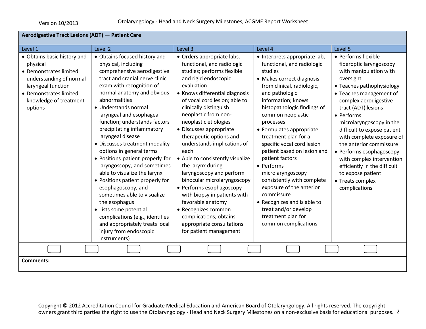| Aerodigestive Tract Lesions (ADT) - Patient Care                                                                                                                                  |                                                                                                                                                                                                                                                                                                                                                                                                                                                                                                                                                                                                                                                                                                                                                              |                                                                                                                                                                                                                                                                                                                                                                                                                                                                                                                                                                                                                                                                                      |                                                                                                                                                                                                                                                                                                                                                                                                                                                                                                                                                                                                |                                                                                                                                                                                                                                                                                                                                                                                                                                                                                   |
|-----------------------------------------------------------------------------------------------------------------------------------------------------------------------------------|--------------------------------------------------------------------------------------------------------------------------------------------------------------------------------------------------------------------------------------------------------------------------------------------------------------------------------------------------------------------------------------------------------------------------------------------------------------------------------------------------------------------------------------------------------------------------------------------------------------------------------------------------------------------------------------------------------------------------------------------------------------|--------------------------------------------------------------------------------------------------------------------------------------------------------------------------------------------------------------------------------------------------------------------------------------------------------------------------------------------------------------------------------------------------------------------------------------------------------------------------------------------------------------------------------------------------------------------------------------------------------------------------------------------------------------------------------------|------------------------------------------------------------------------------------------------------------------------------------------------------------------------------------------------------------------------------------------------------------------------------------------------------------------------------------------------------------------------------------------------------------------------------------------------------------------------------------------------------------------------------------------------------------------------------------------------|-----------------------------------------------------------------------------------------------------------------------------------------------------------------------------------------------------------------------------------------------------------------------------------------------------------------------------------------------------------------------------------------------------------------------------------------------------------------------------------|
| Level 1                                                                                                                                                                           | Level 2                                                                                                                                                                                                                                                                                                                                                                                                                                                                                                                                                                                                                                                                                                                                                      | Level 3                                                                                                                                                                                                                                                                                                                                                                                                                                                                                                                                                                                                                                                                              | Level 4                                                                                                                                                                                                                                                                                                                                                                                                                                                                                                                                                                                        | Level 5                                                                                                                                                                                                                                                                                                                                                                                                                                                                           |
| • Obtains basic history and<br>physical<br>• Demonstrates limited<br>understanding of normal<br>laryngeal function<br>• Demonstrates limited<br>knowledge of treatment<br>options | • Obtains focused history and<br>physical, including<br>comprehensive aerodigestive<br>tract and cranial nerve clinic<br>exam with recognition of<br>normal anatomy and obvious<br>abnormalities<br>• Understands normal<br>laryngeal and esophageal<br>function; understands factors<br>precipitating inflammatory<br>laryngeal disease<br>• Discusses treatment modality<br>options in general terms<br>• Positions patient properly for<br>laryngoscopy, and sometimes<br>able to visualize the larynx<br>• Positions patient properly for<br>esophagoscopy, and<br>sometimes able to visualize<br>the esophagus<br>• Lists some potential<br>complications (e.g., identifies<br>and appropriately treats local<br>injury from endoscopic<br>instruments) | • Orders appropriate labs,<br>functional, and radiologic<br>studies; performs flexible<br>and rigid endoscopic<br>evaluation<br>• Knows differential diagnosis<br>of vocal cord lesion; able to<br>clinically distinguish<br>neoplastic from non-<br>neoplastic etiologies<br>• Discusses appropriate<br>therapeutic options and<br>understands implications of<br>each<br>• Able to consistently visualize<br>the larynx during<br>laryngoscopy and perform<br>binocular microlaryngoscopy<br>• Performs esophagoscopy<br>with biopsy in patients with<br>favorable anatomy<br>• Recognizes common<br>complications; obtains<br>appropriate consultations<br>for patient management | · Interprets appropriate lab,<br>functional, and radiologic<br>studies<br>• Makes correct diagnosis<br>from clinical, radiologic,<br>and pathologic<br>information; knows<br>histopathologic findings of<br>common neoplastic<br>processes<br>• Formulates appropriate<br>treatment plan for a<br>specific vocal cord lesion<br>patient based on lesion and<br>patient factors<br>• Performs<br>microlaryngoscopy<br>consistently with complete<br>exposure of the anterior<br>commissure<br>• Recognizes and is able to<br>treat and/or develop<br>treatment plan for<br>common complications | • Performs flexible<br>fiberoptic laryngoscopy<br>with manipulation with<br>oversight<br>• Teaches pathophysiology<br>• Teaches management of<br>complex aerodigestive<br>tract (ADT) lesions<br>• Performs<br>microlaryngoscopy in the<br>difficult to expose patient<br>with complete exposure of<br>the anterior commissure<br>• Performs esophagoscopy<br>with complex intervention<br>efficiently in the difficult<br>to expose patient<br>• Treats complex<br>complications |
| <b>Comments:</b>                                                                                                                                                                  |                                                                                                                                                                                                                                                                                                                                                                                                                                                                                                                                                                                                                                                                                                                                                              |                                                                                                                                                                                                                                                                                                                                                                                                                                                                                                                                                                                                                                                                                      |                                                                                                                                                                                                                                                                                                                                                                                                                                                                                                                                                                                                |                                                                                                                                                                                                                                                                                                                                                                                                                                                                                   |
|                                                                                                                                                                                   |                                                                                                                                                                                                                                                                                                                                                                                                                                                                                                                                                                                                                                                                                                                                                              |                                                                                                                                                                                                                                                                                                                                                                                                                                                                                                                                                                                                                                                                                      |                                                                                                                                                                                                                                                                                                                                                                                                                                                                                                                                                                                                |                                                                                                                                                                                                                                                                                                                                                                                                                                                                                   |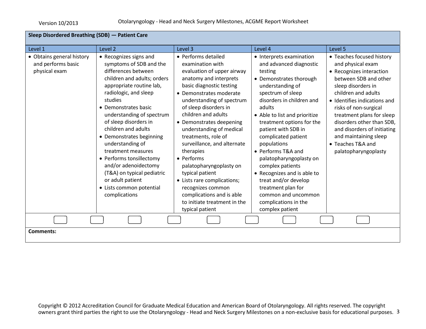| Sleep Disordered Breathing (SDB) - Patient Care                  |                                                                                                                                                                                                                                                                                                                                                                                                                                                                                                       |                                                                                                                                                                                                                                                                                                                                                                                                                                                                                                                                                                |                                                                                                                                                                                                                                                                                                                                                                                                                                                                                                                          |                                                                                                                                                                                                                                                                                                                                                                          |
|------------------------------------------------------------------|-------------------------------------------------------------------------------------------------------------------------------------------------------------------------------------------------------------------------------------------------------------------------------------------------------------------------------------------------------------------------------------------------------------------------------------------------------------------------------------------------------|----------------------------------------------------------------------------------------------------------------------------------------------------------------------------------------------------------------------------------------------------------------------------------------------------------------------------------------------------------------------------------------------------------------------------------------------------------------------------------------------------------------------------------------------------------------|--------------------------------------------------------------------------------------------------------------------------------------------------------------------------------------------------------------------------------------------------------------------------------------------------------------------------------------------------------------------------------------------------------------------------------------------------------------------------------------------------------------------------|--------------------------------------------------------------------------------------------------------------------------------------------------------------------------------------------------------------------------------------------------------------------------------------------------------------------------------------------------------------------------|
| Level 1                                                          | Level 2                                                                                                                                                                                                                                                                                                                                                                                                                                                                                               | Level 3                                                                                                                                                                                                                                                                                                                                                                                                                                                                                                                                                        | Level 4                                                                                                                                                                                                                                                                                                                                                                                                                                                                                                                  | Level 5                                                                                                                                                                                                                                                                                                                                                                  |
| • Obtains general history<br>and performs basic<br>physical exam | • Recognizes signs and<br>symptoms of SDB and the<br>differences between<br>children and adults; orders<br>appropriate routine lab,<br>radiologic, and sleep<br>studies<br>• Demonstrates basic<br>understanding of spectrum<br>of sleep disorders in<br>children and adults<br>• Demonstrates beginning<br>understanding of<br>treatment measures<br>• Performs tonsillectomy<br>and/or adenoidectomy<br>(T&A) on typical pediatric<br>or adult patient<br>• Lists common potential<br>complications | • Performs detailed<br>examination with<br>evaluation of upper airway<br>anatomy and interprets<br>basic diagnostic testing<br>• Demonstrates moderate<br>understanding of spectrum<br>of sleep disorders in<br>children and adults<br>• Demonstrates deepening<br>understanding of medical<br>treatments, role of<br>surveillance, and alternate<br>therapies<br>• Performs<br>palatopharyngoplasty on<br>typical patient<br>• Lists rare complications;<br>recognizes common<br>complications and is able<br>to initiate treatment in the<br>typical patient | • Interprets examination<br>and advanced diagnostic<br>testing<br>• Demonstrates thorough<br>understanding of<br>spectrum of sleep<br>disorders in children and<br>adults<br>• Able to list and prioritize<br>treatment options for the<br>patient with SDB in<br>complicated patient<br>populations<br>• Performs T&A and<br>palatopharyngoplasty on<br>complex patients<br>• Recognizes and is able to<br>treat and/or develop<br>treatment plan for<br>common and uncommon<br>complications in the<br>complex patient | • Teaches focused history<br>and physical exam<br>• Recognizes interaction<br>between SDB and other<br>sleep disorders in<br>children and adults<br>• Identifies indications and<br>risks of non-surgical<br>treatment plans for sleep<br>disorders other than SDB,<br>and disorders of initiating<br>and maintaining sleep<br>• Teaches T&A and<br>palatopharyngoplasty |
|                                                                  |                                                                                                                                                                                                                                                                                                                                                                                                                                                                                                       |                                                                                                                                                                                                                                                                                                                                                                                                                                                                                                                                                                |                                                                                                                                                                                                                                                                                                                                                                                                                                                                                                                          |                                                                                                                                                                                                                                                                                                                                                                          |
| Comments:                                                        |                                                                                                                                                                                                                                                                                                                                                                                                                                                                                                       |                                                                                                                                                                                                                                                                                                                                                                                                                                                                                                                                                                |                                                                                                                                                                                                                                                                                                                                                                                                                                                                                                                          |                                                                                                                                                                                                                                                                                                                                                                          |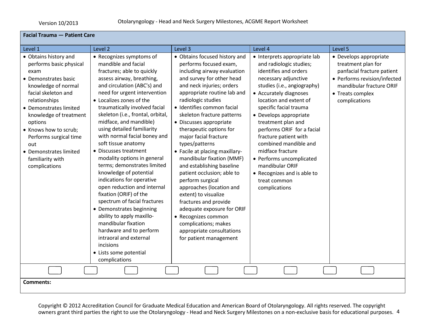| <b>Facial Trauma - Patient Care</b>                                                                                                                                                                                                                                                                                                     |                                                                                                                                                                                                                                                                                                                                                                                                                                                                                                                                                                                                                                                                                                                                                                                                                                |                                                                                                                                                                                                                                                                                                                                                                                                                                                                                                                                                                                                                                                                                                                                   |                                                                                                                                                                                                                                                                                                                                                                                                                                                                                          |                                                                                                                                                                             |
|-----------------------------------------------------------------------------------------------------------------------------------------------------------------------------------------------------------------------------------------------------------------------------------------------------------------------------------------|--------------------------------------------------------------------------------------------------------------------------------------------------------------------------------------------------------------------------------------------------------------------------------------------------------------------------------------------------------------------------------------------------------------------------------------------------------------------------------------------------------------------------------------------------------------------------------------------------------------------------------------------------------------------------------------------------------------------------------------------------------------------------------------------------------------------------------|-----------------------------------------------------------------------------------------------------------------------------------------------------------------------------------------------------------------------------------------------------------------------------------------------------------------------------------------------------------------------------------------------------------------------------------------------------------------------------------------------------------------------------------------------------------------------------------------------------------------------------------------------------------------------------------------------------------------------------------|------------------------------------------------------------------------------------------------------------------------------------------------------------------------------------------------------------------------------------------------------------------------------------------------------------------------------------------------------------------------------------------------------------------------------------------------------------------------------------------|-----------------------------------------------------------------------------------------------------------------------------------------------------------------------------|
| Level 1                                                                                                                                                                                                                                                                                                                                 | Level 2                                                                                                                                                                                                                                                                                                                                                                                                                                                                                                                                                                                                                                                                                                                                                                                                                        | Level 3                                                                                                                                                                                                                                                                                                                                                                                                                                                                                                                                                                                                                                                                                                                           | Level 4                                                                                                                                                                                                                                                                                                                                                                                                                                                                                  | Level 5                                                                                                                                                                     |
| • Obtains history and<br>performs basic physical<br>exam<br>• Demonstrates basic<br>knowledge of normal<br>facial skeleton and<br>relationships<br>• Demonstrates limited<br>knowledge of treatment<br>options<br>• Knows how to scrub;<br>Performs surgical time<br>out<br>• Demonstrates limited<br>familiarity with<br>complications | • Recognizes symptoms of<br>mandible and facial<br>fractures; able to quickly<br>assess airway, breathing,<br>and circulation (ABC's) and<br>need for urgent intervention<br>• Localizes zones of the<br>traumatically involved facial<br>skeleton (i.e., frontal, orbital,<br>midface, and mandible)<br>using detailed familiarity<br>with normal facial boney and<br>soft tissue anatomy<br>• Discusses treatment<br>modality options in general<br>terms; demonstrates limited<br>knowledge of potential<br>indications for operative<br>open reduction and internal<br>fixation (ORIF) of the<br>spectrum of facial fractures<br>• Demonstrates beginning<br>ability to apply maxillo-<br>mandibular fixation<br>hardware and to perform<br>intraoral and external<br>incisions<br>• Lists some potential<br>complications | • Obtains focused history and<br>performs focused exam,<br>including airway evaluation<br>and survey for other head<br>and neck injuries; orders<br>appropriate routine lab and<br>radiologic studies<br>• Identifies common facial<br>skeleton fracture patterns<br>• Discusses appropriate<br>therapeutic options for<br>major facial fracture<br>types/patterns<br>• Facile at placing maxillary-<br>mandibular fixation (MMF)<br>and establishing baseline<br>patient occlusion; able to<br>perform surgical<br>approaches (location and<br>extent) to visualize<br>fractures and provide<br>adequate exposure for ORIF<br>• Recognizes common<br>complications; makes<br>appropriate consultations<br>for patient management | • Interprets appropriate lab<br>and radiologic studies;<br>identifies and orders<br>necessary adjunctive<br>studies (i.e., angiography)<br>• Accurately diagnoses<br>location and extent of<br>specific facial trauma<br>• Develops appropriate<br>treatment plan and<br>performs ORIF for a facial<br>fracture patient with<br>combined mandible and<br>midface fracture<br>• Performs uncomplicated<br>mandibular ORIF<br>• Recognizes and is able to<br>treat common<br>complications | • Develops appropriate<br>treatment plan for<br>panfacial fracture patient<br>• Performs revision/infected<br>mandibular fracture ORIF<br>• Treats complex<br>complications |
| <b>Comments:</b>                                                                                                                                                                                                                                                                                                                        |                                                                                                                                                                                                                                                                                                                                                                                                                                                                                                                                                                                                                                                                                                                                                                                                                                |                                                                                                                                                                                                                                                                                                                                                                                                                                                                                                                                                                                                                                                                                                                                   |                                                                                                                                                                                                                                                                                                                                                                                                                                                                                          |                                                                                                                                                                             |
|                                                                                                                                                                                                                                                                                                                                         |                                                                                                                                                                                                                                                                                                                                                                                                                                                                                                                                                                                                                                                                                                                                                                                                                                |                                                                                                                                                                                                                                                                                                                                                                                                                                                                                                                                                                                                                                                                                                                                   |                                                                                                                                                                                                                                                                                                                                                                                                                                                                                          |                                                                                                                                                                             |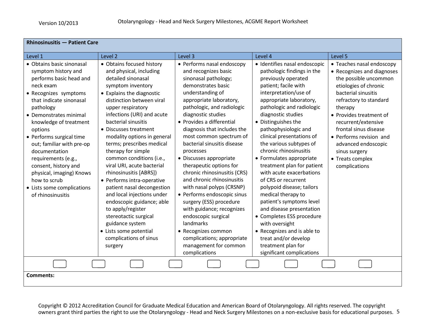| <b>Rhinosinusitis - Patient Care</b>                                                                                                                                                                                                                                                                                                                                                                                                             |                                                                                                                                                                                                                                                                                                                                                                                                                                                                                                                                                                                                                                                                                           |                                                                                                                                                                                                                                                                                                                                                                                                                                                                                                                                                                                                                                                                                                                   |                                                                                                                                                                                                                                                                                                                                                                                                                                                                                                                                                                                                                                                                                                                                     |                                                                                                                                                                                                                                                                                                                                                          |
|--------------------------------------------------------------------------------------------------------------------------------------------------------------------------------------------------------------------------------------------------------------------------------------------------------------------------------------------------------------------------------------------------------------------------------------------------|-------------------------------------------------------------------------------------------------------------------------------------------------------------------------------------------------------------------------------------------------------------------------------------------------------------------------------------------------------------------------------------------------------------------------------------------------------------------------------------------------------------------------------------------------------------------------------------------------------------------------------------------------------------------------------------------|-------------------------------------------------------------------------------------------------------------------------------------------------------------------------------------------------------------------------------------------------------------------------------------------------------------------------------------------------------------------------------------------------------------------------------------------------------------------------------------------------------------------------------------------------------------------------------------------------------------------------------------------------------------------------------------------------------------------|-------------------------------------------------------------------------------------------------------------------------------------------------------------------------------------------------------------------------------------------------------------------------------------------------------------------------------------------------------------------------------------------------------------------------------------------------------------------------------------------------------------------------------------------------------------------------------------------------------------------------------------------------------------------------------------------------------------------------------------|----------------------------------------------------------------------------------------------------------------------------------------------------------------------------------------------------------------------------------------------------------------------------------------------------------------------------------------------------------|
| Level 1                                                                                                                                                                                                                                                                                                                                                                                                                                          | Level 2                                                                                                                                                                                                                                                                                                                                                                                                                                                                                                                                                                                                                                                                                   | Level 3                                                                                                                                                                                                                                                                                                                                                                                                                                                                                                                                                                                                                                                                                                           | Level 4                                                                                                                                                                                                                                                                                                                                                                                                                                                                                                                                                                                                                                                                                                                             | Level 5                                                                                                                                                                                                                                                                                                                                                  |
| • Obtains basic sinonasal<br>symptom history and<br>performs basic head and<br>neck exam<br>• Recognizes symptoms<br>that indicate sinonasal<br>pathology<br>• Demonstrates minimal<br>knowledge of treatment<br>options<br>• Performs surgical time<br>out; familiar with pre-op<br>documentation<br>requirements (e.g.,<br>consent, history and<br>physical, imaging) Knows<br>how to scrub<br>• Lists some complications<br>of rhinosinusitis | • Obtains focused history<br>and physical, including<br>detailed sinonasal<br>symptom inventory<br>• Explains the diagnostic<br>distinction between viral<br>upper respiratory<br>infections (URI) and acute<br>bacterial sinusitis<br>• Discusses treatment<br>modality options in general<br>terms; prescribes medical<br>therapy for simple<br>common conditions (i.e.,<br>viral URI, acute bacterial<br>rhinosinusitis [ABRS])<br>• Performs intra-operative<br>patient nasal decongestion<br>and local injections under<br>endoscopic guidance; able<br>to apply/register<br>stereotactic surgical<br>guidance system<br>• Lists some potential<br>complications of sinus<br>surgery | • Performs nasal endoscopy<br>and recognizes basic<br>sinonasal pathology;<br>demonstrates basic<br>understanding of<br>appropriate laboratory,<br>pathologic, and radiologic<br>diagnostic studies<br>• Provides a differential<br>diagnosis that includes the<br>most common spectrum of<br>bacterial sinusitis disease<br>processes<br>• Discusses appropriate<br>therapeutic options for<br>chronic rhinosinusitis (CRS)<br>and chronic rhinosinusitis<br>with nasal polyps (CRSNP)<br>• Performs endoscopic sinus<br>surgery (ESS) procedure<br>with guidance; recognizes<br>endoscopic surgical<br>landmarks<br>• Recognizes common<br>complications; appropriate<br>management for common<br>complications | · Identifies nasal endoscopic<br>pathologic findings in the<br>previously operated<br>patient; facile with<br>interpretation/use of<br>appropriate laboratory,<br>pathologic and radiologic<br>diagnostic studies<br>• Distinguishes the<br>pathophysiologic and<br>clinical presentations of<br>the various subtypes of<br>chronic rhinosinusitis<br>• Formulates appropriate<br>treatment plan for patient<br>with acute exacerbations<br>of CRS or recurrent<br>polypoid disease; tailors<br>medical therapy to<br>patient's symptoms level<br>and disease presentation<br>• Completes ESS procedure<br>with oversight<br>• Recognizes and is able to<br>treat and/or develop<br>treatment plan for<br>significant complications | • Teaches nasal endoscopy<br>• Recognizes and diagnoses<br>the possible uncommon<br>etiologies of chronic<br>bacterial sinusitis<br>refractory to standard<br>therapy<br>• Provides treatment of<br>recurrent/extensive<br>frontal sinus disease<br>• Performs revision and<br>advanced endoscopic<br>sinus surgery<br>• Treats complex<br>complications |
| <b>Comments:</b>                                                                                                                                                                                                                                                                                                                                                                                                                                 |                                                                                                                                                                                                                                                                                                                                                                                                                                                                                                                                                                                                                                                                                           |                                                                                                                                                                                                                                                                                                                                                                                                                                                                                                                                                                                                                                                                                                                   |                                                                                                                                                                                                                                                                                                                                                                                                                                                                                                                                                                                                                                                                                                                                     |                                                                                                                                                                                                                                                                                                                                                          |
|                                                                                                                                                                                                                                                                                                                                                                                                                                                  |                                                                                                                                                                                                                                                                                                                                                                                                                                                                                                                                                                                                                                                                                           |                                                                                                                                                                                                                                                                                                                                                                                                                                                                                                                                                                                                                                                                                                                   |                                                                                                                                                                                                                                                                                                                                                                                                                                                                                                                                                                                                                                                                                                                                     |                                                                                                                                                                                                                                                                                                                                                          |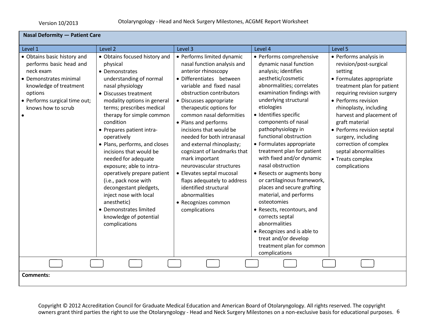| <b>Nasal Deformity - Patient Care</b>                                                                                                                                                     |                                                                                                                                                                                                                                                                                                                                                                                                                                                                                                                                                                                                      |                                                                                                                                                                                                                                                                                                                                                                                                                                                                                                                                                                                                 |                                                                                                                                                                                                                                                                                                                                                                                                                                                                                                                                                                                                                                                                                                                          |                                                                                                                                                                                                                                                                                                                                                                                              |  |
|-------------------------------------------------------------------------------------------------------------------------------------------------------------------------------------------|------------------------------------------------------------------------------------------------------------------------------------------------------------------------------------------------------------------------------------------------------------------------------------------------------------------------------------------------------------------------------------------------------------------------------------------------------------------------------------------------------------------------------------------------------------------------------------------------------|-------------------------------------------------------------------------------------------------------------------------------------------------------------------------------------------------------------------------------------------------------------------------------------------------------------------------------------------------------------------------------------------------------------------------------------------------------------------------------------------------------------------------------------------------------------------------------------------------|--------------------------------------------------------------------------------------------------------------------------------------------------------------------------------------------------------------------------------------------------------------------------------------------------------------------------------------------------------------------------------------------------------------------------------------------------------------------------------------------------------------------------------------------------------------------------------------------------------------------------------------------------------------------------------------------------------------------------|----------------------------------------------------------------------------------------------------------------------------------------------------------------------------------------------------------------------------------------------------------------------------------------------------------------------------------------------------------------------------------------------|--|
| Level 1                                                                                                                                                                                   | Level <sub>2</sub>                                                                                                                                                                                                                                                                                                                                                                                                                                                                                                                                                                                   | Level 3                                                                                                                                                                                                                                                                                                                                                                                                                                                                                                                                                                                         | Level 4                                                                                                                                                                                                                                                                                                                                                                                                                                                                                                                                                                                                                                                                                                                  | Level 5                                                                                                                                                                                                                                                                                                                                                                                      |  |
| • Obtains basic history and<br>performs basic head and<br>neck exam<br>• Demonstrates minimal<br>knowledge of treatment<br>options<br>· Performs surgical time out;<br>knows how to scrub | • Obtains focused history and<br>physical<br>• Demonstrates<br>understanding of normal<br>nasal physiology<br>• Discusses treatment<br>modality options in general<br>terms; prescribes medical<br>therapy for simple common<br>condition<br>• Prepares patient intra-<br>operatively<br>• Plans, performs, and closes<br>incisions that would be<br>needed for adequate<br>exposure; able to intra-<br>operatively prepare patient<br>(i.e., pack nose with<br>decongestant pledgets,<br>inject nose with local<br>anesthetic)<br>• Demonstrates limited<br>knowledge of potential<br>complications | • Performs limited dynamic<br>nasal function analysis and<br>anterior rhinoscopy<br>· Differentiates between<br>variable and fixed nasal<br>obstruction contributors<br>• Discusses appropriate<br>therapeutic options for<br>common nasal deformities<br>• Plans and performs<br>incisions that would be<br>needed for both intranasal<br>and external rhinoplasty;<br>cognizant of landmarks that<br>mark important<br>neurovascular structures<br>• Elevates septal mucosal<br>flaps adequately to address<br>identified structural<br>abnormalities<br>• Recognizes common<br>complications | • Performs comprehensive<br>dynamic nasal function<br>analysis; identifies<br>aesthetic/cosmetic<br>abnormalities; correlates<br>examination findings with<br>underlying structural<br>etiologies<br>· Identifies specific<br>components of nasal<br>pathophysiology in<br>functional obstruction<br>• Formulates appropriate<br>treatment plan for patient<br>with fixed and/or dynamic<br>nasal obstruction<br>• Resects or augments bony<br>or cartilaginous framework,<br>places and secure grafting<br>material, and performs<br>osteotomies<br>• Resects, recontours, and<br>corrects septal<br>abnormalities<br>• Recognizes and is able to<br>treat and/or develop<br>treatment plan for common<br>complications | • Performs analysis in<br>revision/post-surgical<br>setting<br>• Formulates appropriate<br>treatment plan for patient<br>requiring revision surgery<br>• Performs revision<br>rhinoplasty, including<br>harvest and placement of<br>graft material<br>• Performs revision septal<br>surgery, including<br>correction of complex<br>septal abnormalities<br>• Treats complex<br>complications |  |
|                                                                                                                                                                                           |                                                                                                                                                                                                                                                                                                                                                                                                                                                                                                                                                                                                      |                                                                                                                                                                                                                                                                                                                                                                                                                                                                                                                                                                                                 |                                                                                                                                                                                                                                                                                                                                                                                                                                                                                                                                                                                                                                                                                                                          |                                                                                                                                                                                                                                                                                                                                                                                              |  |
| <b>Comments:</b>                                                                                                                                                                          |                                                                                                                                                                                                                                                                                                                                                                                                                                                                                                                                                                                                      |                                                                                                                                                                                                                                                                                                                                                                                                                                                                                                                                                                                                 |                                                                                                                                                                                                                                                                                                                                                                                                                                                                                                                                                                                                                                                                                                                          |                                                                                                                                                                                                                                                                                                                                                                                              |  |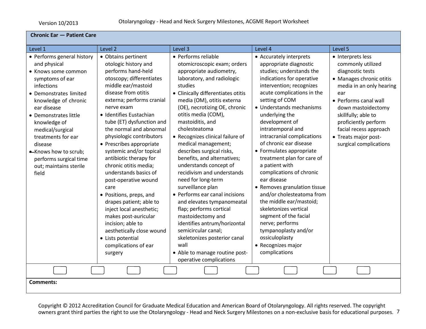| <b>Chronic Ear - Patient Care</b>                                                                                                                                                                                                                                                                                                                      |                                                                                                                                                                                                                                                                                                                                                                                                                                                                                                                                                                                                                                                                                             |                                                                                                                                                                                                                                                                                                                                                                                                                                                                                                                                                                                                                                                                                                                                                                                               |                                                                                                                                                                                                                                                                                                                                                                                                                                                                                                                                                                                                                                                                                                          |                                                                                                                                                                                                                                                                                                     |
|--------------------------------------------------------------------------------------------------------------------------------------------------------------------------------------------------------------------------------------------------------------------------------------------------------------------------------------------------------|---------------------------------------------------------------------------------------------------------------------------------------------------------------------------------------------------------------------------------------------------------------------------------------------------------------------------------------------------------------------------------------------------------------------------------------------------------------------------------------------------------------------------------------------------------------------------------------------------------------------------------------------------------------------------------------------|-----------------------------------------------------------------------------------------------------------------------------------------------------------------------------------------------------------------------------------------------------------------------------------------------------------------------------------------------------------------------------------------------------------------------------------------------------------------------------------------------------------------------------------------------------------------------------------------------------------------------------------------------------------------------------------------------------------------------------------------------------------------------------------------------|----------------------------------------------------------------------------------------------------------------------------------------------------------------------------------------------------------------------------------------------------------------------------------------------------------------------------------------------------------------------------------------------------------------------------------------------------------------------------------------------------------------------------------------------------------------------------------------------------------------------------------------------------------------------------------------------------------|-----------------------------------------------------------------------------------------------------------------------------------------------------------------------------------------------------------------------------------------------------------------------------------------------------|
| Level 1                                                                                                                                                                                                                                                                                                                                                | Level 2                                                                                                                                                                                                                                                                                                                                                                                                                                                                                                                                                                                                                                                                                     | Level 3                                                                                                                                                                                                                                                                                                                                                                                                                                                                                                                                                                                                                                                                                                                                                                                       | Level 4                                                                                                                                                                                                                                                                                                                                                                                                                                                                                                                                                                                                                                                                                                  | Level 5                                                                                                                                                                                                                                                                                             |
| • Performs general history<br>and physical<br>• Knows some common<br>symptoms of ear<br>infections<br>• Demonstrates limited<br>knowledge of chronic<br>ear disease<br>• Demonstrates little<br>knowledge of<br>medical/surgical<br>treatments for ear<br>disease<br>-Knows how to scrub;<br>performs surgical time<br>out; maintains sterile<br>field | • Obtains pertinent<br>otologic history and<br>performs hand-held<br>otoscopy; differentiates<br>middle ear/mastoid<br>disease from otitis<br>externa; performs cranial<br>nerve exam<br>· Identifies Eustachian<br>tube (ET) dysfunction and<br>the normal and abnormal<br>physiologic contributors<br>• Prescribes appropriate<br>systemic and/or topical<br>antibiotic therapy for<br>chronic otitis media;<br>understands basics of<br>post-operative wound<br>care<br>• Positions, preps, and<br>drapes patient; able to<br>inject local anesthetic;<br>makes post-auricular<br>incision; able to<br>aesthetically close wound<br>• Lists potential<br>complications of ear<br>surgery | • Performs reliable<br>otomicroscopic exam; orders<br>appropriate audiometry,<br>laboratory, and radiologic<br>studies<br>• Clinically differentiates otitis<br>media (OM), otitis externa<br>(OE), necrotizing OE, chronic<br>otitis media (COM),<br>mastoiditis, and<br>cholesteatoma<br>• Recognizes clinical failure of<br>medical management;<br>describes surgical risks,<br>benefits, and alternatives;<br>understands concept of<br>recidivism and understands<br>need for long-term<br>surveillance plan<br>• Performs ear canal incisions<br>and elevates tympanomeatal<br>flap; performs cortical<br>mastoidectomy and<br>identifies antrum/horizontal<br>semicircular canal;<br>skeletonizes posterior canal<br>wall<br>• Able to manage routine post-<br>operative complications | • Accurately interprets<br>appropriate diagnostic<br>studies; understands the<br>indications for operative<br>intervention; recognizes<br>acute complications in the<br>setting of COM<br>• Understands mechanisms<br>underlying the<br>development of<br>intratemporal and<br>intracranial complications<br>of chronic ear disease<br>• Formulates appropriate<br>treatment plan for care of<br>a patient with<br>complications of chronic<br>ear disease<br>• Removes granulation tissue<br>and/or cholesteatoma from<br>the middle ear/mastoid;<br>skeletonizes vertical<br>segment of the facial<br>nerve; performs<br>tympanoplasty and/or<br>ossiculoplasty<br>• Recognizes major<br>complications | • Interprets less<br>commonly utilized<br>diagnostic tests<br>• Manages chronic otitis<br>media in an only hearing<br>ear<br>• Performs canal wall<br>down mastoidectomy<br>skillfully; able to<br>proficiently perform<br>facial recess approach<br>• Treats major post-<br>surgical complications |
| <b>Comments:</b>                                                                                                                                                                                                                                                                                                                                       |                                                                                                                                                                                                                                                                                                                                                                                                                                                                                                                                                                                                                                                                                             |                                                                                                                                                                                                                                                                                                                                                                                                                                                                                                                                                                                                                                                                                                                                                                                               |                                                                                                                                                                                                                                                                                                                                                                                                                                                                                                                                                                                                                                                                                                          |                                                                                                                                                                                                                                                                                                     |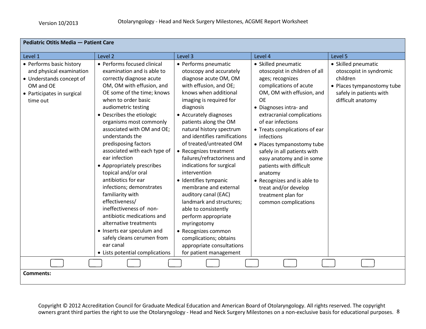| Pediatric Otitis Media - Patient Care                                                                                                   |                                                                                                                                                                                                                                                                                                                                                                                                                                                                                                                                                                                                                                                                                                                               |                                                                                                                                                                                                                                                                                                                                                                                                                                                                                                                                                                                                                                                                                                |                                                                                                                                                                                                                                                                                                                                                                                                                                                                                                              |                                                                                                                                          |
|-----------------------------------------------------------------------------------------------------------------------------------------|-------------------------------------------------------------------------------------------------------------------------------------------------------------------------------------------------------------------------------------------------------------------------------------------------------------------------------------------------------------------------------------------------------------------------------------------------------------------------------------------------------------------------------------------------------------------------------------------------------------------------------------------------------------------------------------------------------------------------------|------------------------------------------------------------------------------------------------------------------------------------------------------------------------------------------------------------------------------------------------------------------------------------------------------------------------------------------------------------------------------------------------------------------------------------------------------------------------------------------------------------------------------------------------------------------------------------------------------------------------------------------------------------------------------------------------|--------------------------------------------------------------------------------------------------------------------------------------------------------------------------------------------------------------------------------------------------------------------------------------------------------------------------------------------------------------------------------------------------------------------------------------------------------------------------------------------------------------|------------------------------------------------------------------------------------------------------------------------------------------|
| Level 1                                                                                                                                 | Level 2                                                                                                                                                                                                                                                                                                                                                                                                                                                                                                                                                                                                                                                                                                                       | Level 3                                                                                                                                                                                                                                                                                                                                                                                                                                                                                                                                                                                                                                                                                        | Level 4                                                                                                                                                                                                                                                                                                                                                                                                                                                                                                      | Level 5                                                                                                                                  |
| • Performs basic history<br>and physical examination<br>• Understands concept of<br>OM and OE<br>• Participates in surgical<br>time out | • Performs focused clinical<br>examination and is able to<br>correctly diagnose acute<br>OM, OM with effusion, and<br>OE some of the time; knows<br>when to order basic<br>audiometric testing<br>• Describes the etiologic<br>organisms most commonly<br>associated with OM and OE;<br>understands the<br>predisposing factors<br>associated with each type of<br>ear infection<br>• Appropriately prescribes<br>topical and/or oral<br>antibiotics for ear<br>infections; demonstrates<br>familiarity with<br>effectiveness/<br>ineffectiveness of non-<br>antibiotic medications and<br>alternative treatments<br>• Inserts ear speculum and<br>safely cleans cerumen from<br>ear canal<br>• Lists potential complications | • Performs pneumatic<br>otoscopy and accurately<br>diagnose acute OM, OM<br>with effusion, and OE;<br>knows when additional<br>imaging is required for<br>diagnosis<br>• Accurately diagnoses<br>patients along the OM<br>natural history spectrum<br>and identifies ramifications<br>of treated/untreated OM<br>• Recognizes treatment<br>failures/refractoriness and<br>indications for surgical<br>intervention<br>· Identifies tympanic<br>membrane and external<br>auditory canal (EAC)<br>landmark and structures;<br>able to consistently<br>perform appropriate<br>myringotomy<br>• Recognizes common<br>complications; obtains<br>appropriate consultations<br>for patient management | • Skilled pneumatic<br>otoscopist in children of all<br>ages; recognizes<br>complications of acute<br>OM, OM with effusion, and<br><b>OE</b><br>• Diagnoses intra- and<br>extracranial complications<br>of ear infections<br>• Treats complications of ear<br>infections<br>• Places tympanostomy tube<br>safely in all patients with<br>easy anatomy and in some<br>patients with difficult<br>anatomy<br>• Recognizes and is able to<br>treat and/or develop<br>treatment plan for<br>common complications | • Skilled pneumatic<br>otoscopist in syndromic<br>children<br>• Places tympanostomy tube<br>safely in patients with<br>difficult anatomy |
|                                                                                                                                         |                                                                                                                                                                                                                                                                                                                                                                                                                                                                                                                                                                                                                                                                                                                               |                                                                                                                                                                                                                                                                                                                                                                                                                                                                                                                                                                                                                                                                                                |                                                                                                                                                                                                                                                                                                                                                                                                                                                                                                              |                                                                                                                                          |
| <b>Comments:</b>                                                                                                                        |                                                                                                                                                                                                                                                                                                                                                                                                                                                                                                                                                                                                                                                                                                                               |                                                                                                                                                                                                                                                                                                                                                                                                                                                                                                                                                                                                                                                                                                |                                                                                                                                                                                                                                                                                                                                                                                                                                                                                                              |                                                                                                                                          |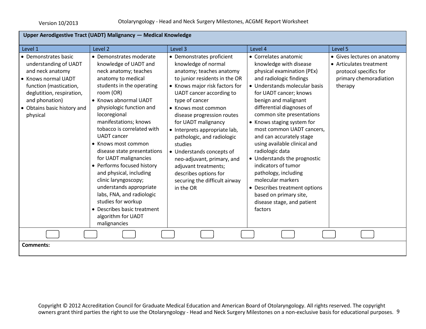| Level 1<br>• Demonstrates basic<br>understanding of UADT<br>and neck anatomy                                                            | Level 2<br>• Demonstrates moderate<br>knowledge of UADT and<br>neck anatomy; teaches                                                                                                                                                                                                                                                                                                                                                                                                                                              | Level 3<br>• Demonstrates proficient<br>knowledge of normal<br>anatomy; teaches anatomy                                                                                                                                                                                                                                                                                                                                       | Level 4<br>• Correlates anatomic                                                                                                                                                                                                                                                                                                                                                                                                                                                                                                                                               | Level 5<br>• Gives lectures on anatomy                                                 |
|-----------------------------------------------------------------------------------------------------------------------------------------|-----------------------------------------------------------------------------------------------------------------------------------------------------------------------------------------------------------------------------------------------------------------------------------------------------------------------------------------------------------------------------------------------------------------------------------------------------------------------------------------------------------------------------------|-------------------------------------------------------------------------------------------------------------------------------------------------------------------------------------------------------------------------------------------------------------------------------------------------------------------------------------------------------------------------------------------------------------------------------|--------------------------------------------------------------------------------------------------------------------------------------------------------------------------------------------------------------------------------------------------------------------------------------------------------------------------------------------------------------------------------------------------------------------------------------------------------------------------------------------------------------------------------------------------------------------------------|----------------------------------------------------------------------------------------|
|                                                                                                                                         |                                                                                                                                                                                                                                                                                                                                                                                                                                                                                                                                   |                                                                                                                                                                                                                                                                                                                                                                                                                               |                                                                                                                                                                                                                                                                                                                                                                                                                                                                                                                                                                                |                                                                                        |
| • Knows normal UADT<br>function (mastication,<br>deglutition, respiration,<br>and phonation)<br>• Obtains basic history and<br>physical | anatomy to medical<br>students in the operating<br>room (OR)<br>• Knows abnormal UADT<br>physiologic function and<br>locoregional<br>manifestations; knows<br>tobacco is correlated with<br><b>UADT</b> cancer<br>• Knows most common<br>disease state presentations<br>for UADT malignancies<br>• Performs focused history<br>and physical, including<br>clinic laryngoscopy;<br>understands appropriate<br>labs, FNA, and radiologic<br>studies for workup<br>• Describes basic treatment<br>algorithm for UADT<br>malignancies | to junior residents in the OR<br>• Knows major risk factors for<br>UADT cancer according to<br>type of cancer<br>• Knows most common<br>disease progression routes<br>for UADT malignancy<br>• Interprets appropriate lab,<br>pathologic, and radiologic<br>studies<br>• Understands concepts of<br>neo-adjuvant, primary, and<br>adjuvant treatments;<br>describes options for<br>securing the difficult airway<br>in the OR | knowledge with disease<br>physical examination (PEx)<br>and radiologic findings<br>• Understands molecular basis<br>for UADT cancer; knows<br>benign and malignant<br>differential diagnoses of<br>common site presentations<br>• Knows staging system for<br>most common UADT cancers,<br>and can accurately stage<br>using available clinical and<br>radiologic data<br>• Understands the prognostic<br>indicators of tumor<br>pathology, including<br>molecular markers<br>• Describes treatment options<br>based on primary site,<br>disease stage, and patient<br>factors | • Articulates treatment<br>protocol specifics for<br>primary chemoradiation<br>therapy |
| <b>Comments:</b>                                                                                                                        |                                                                                                                                                                                                                                                                                                                                                                                                                                                                                                                                   |                                                                                                                                                                                                                                                                                                                                                                                                                               |                                                                                                                                                                                                                                                                                                                                                                                                                                                                                                                                                                                |                                                                                        |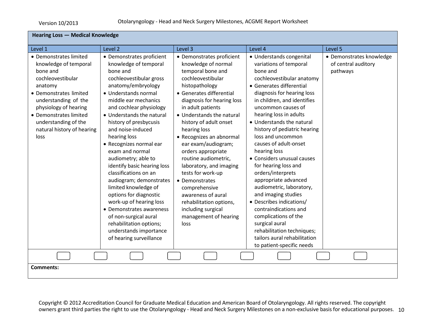| <b>Hearing Loss - Medical Knowledge</b>                                                                                                                                                                                                                        |                                                                                                                                                                                                                                                                                                                                                                                                                                                                                                                                                                                                                                                                  |                                                                                                                                                                                                                                                                                                                                                                                                                                                                                                                                                                |                                                                                                                                                                                                                                                                                                                                                                                                                                                                                                                                                                                                                                                                                                                 |                                                             |  |
|----------------------------------------------------------------------------------------------------------------------------------------------------------------------------------------------------------------------------------------------------------------|------------------------------------------------------------------------------------------------------------------------------------------------------------------------------------------------------------------------------------------------------------------------------------------------------------------------------------------------------------------------------------------------------------------------------------------------------------------------------------------------------------------------------------------------------------------------------------------------------------------------------------------------------------------|----------------------------------------------------------------------------------------------------------------------------------------------------------------------------------------------------------------------------------------------------------------------------------------------------------------------------------------------------------------------------------------------------------------------------------------------------------------------------------------------------------------------------------------------------------------|-----------------------------------------------------------------------------------------------------------------------------------------------------------------------------------------------------------------------------------------------------------------------------------------------------------------------------------------------------------------------------------------------------------------------------------------------------------------------------------------------------------------------------------------------------------------------------------------------------------------------------------------------------------------------------------------------------------------|-------------------------------------------------------------|--|
| Level 1                                                                                                                                                                                                                                                        | Level 2                                                                                                                                                                                                                                                                                                                                                                                                                                                                                                                                                                                                                                                          | Level 3                                                                                                                                                                                                                                                                                                                                                                                                                                                                                                                                                        | Level 4                                                                                                                                                                                                                                                                                                                                                                                                                                                                                                                                                                                                                                                                                                         | Level 5                                                     |  |
| • Demonstrates limited<br>knowledge of temporal<br>bone and<br>cochleovestibular<br>anatomy<br>• Demonstrates limited<br>understanding of the<br>physiology of hearing<br>• Demonstrates limited<br>understanding of the<br>natural history of hearing<br>loss | • Demonstrates proficient<br>knowledge of temporal<br>bone and<br>cochleovestibular gross<br>anatomy/embryology<br>• Understands normal<br>middle ear mechanics<br>and cochlear physiology<br>• Understands the natural<br>history of presbycusis<br>and noise-induced<br>hearing loss<br>• Recognizes normal ear<br>exam and normal<br>audiometry; able to<br>identify basic hearing loss<br>classifications on an<br>audiogram; demonstrates<br>limited knowledge of<br>options for diagnostic<br>work-up of hearing loss<br>• Demonstrates awareness<br>of non-surgical aural<br>rehabilitation options;<br>understands importance<br>of hearing surveillance | • Demonstrates proficient<br>knowledge of normal<br>temporal bone and<br>cochleovestibular<br>histopathology<br>• Generates differential<br>diagnosis for hearing loss<br>in adult patients<br>• Understands the natural<br>history of adult onset<br>hearing loss<br>• Recognizes an abnormal<br>ear exam/audiogram;<br>orders appropriate<br>routine audiometric,<br>laboratory, and imaging<br>tests for work-up<br>• Demonstrates<br>comprehensive<br>awareness of aural<br>rehabilitation options,<br>including surgical<br>management of hearing<br>loss | • Understands congenital<br>variations of temporal<br>bone and<br>cochleovestibular anatomy<br>• Generates differential<br>diagnosis for hearing loss<br>in children, and identifies<br>uncommon causes of<br>hearing loss in adults<br>• Understands the natural<br>history of pediatric hearing<br>loss and uncommon<br>causes of adult-onset<br>hearing loss<br>• Considers unusual causes<br>for hearing loss and<br>orders/interprets<br>appropriate advanced<br>audiometric, laboratory,<br>and imaging studies<br>• Describes indications/<br>contraindications and<br>complications of the<br>surgical aural<br>rehabilitation techniques;<br>tailors aural rehabilitation<br>to patient-specific needs | • Demonstrates knowledge<br>of central auditory<br>pathways |  |
| <b>Comments:</b>                                                                                                                                                                                                                                               |                                                                                                                                                                                                                                                                                                                                                                                                                                                                                                                                                                                                                                                                  |                                                                                                                                                                                                                                                                                                                                                                                                                                                                                                                                                                |                                                                                                                                                                                                                                                                                                                                                                                                                                                                                                                                                                                                                                                                                                                 |                                                             |  |
|                                                                                                                                                                                                                                                                |                                                                                                                                                                                                                                                                                                                                                                                                                                                                                                                                                                                                                                                                  |                                                                                                                                                                                                                                                                                                                                                                                                                                                                                                                                                                |                                                                                                                                                                                                                                                                                                                                                                                                                                                                                                                                                                                                                                                                                                                 |                                                             |  |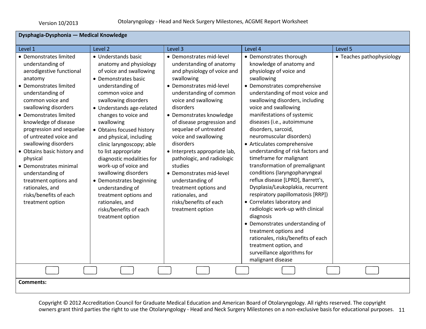| Dysphagia-Dysphonia - Medical Knowledge                                                                                                                                                                                                                                                                                                                                                                                                                                                        |                                                                                                                                                                                                                                                                                                                                                                                                                                                                                                                                                                        |                                                                                                                                                                                                                                                                                                                                                                                                                                                                                                                                           |                                                                                                                                                                                                                                                                                                                                                                                                                                                                                                                                                                                                                                                                                                                                                                                                                                                                                          |                           |
|------------------------------------------------------------------------------------------------------------------------------------------------------------------------------------------------------------------------------------------------------------------------------------------------------------------------------------------------------------------------------------------------------------------------------------------------------------------------------------------------|------------------------------------------------------------------------------------------------------------------------------------------------------------------------------------------------------------------------------------------------------------------------------------------------------------------------------------------------------------------------------------------------------------------------------------------------------------------------------------------------------------------------------------------------------------------------|-------------------------------------------------------------------------------------------------------------------------------------------------------------------------------------------------------------------------------------------------------------------------------------------------------------------------------------------------------------------------------------------------------------------------------------------------------------------------------------------------------------------------------------------|------------------------------------------------------------------------------------------------------------------------------------------------------------------------------------------------------------------------------------------------------------------------------------------------------------------------------------------------------------------------------------------------------------------------------------------------------------------------------------------------------------------------------------------------------------------------------------------------------------------------------------------------------------------------------------------------------------------------------------------------------------------------------------------------------------------------------------------------------------------------------------------|---------------------------|
| Level 1                                                                                                                                                                                                                                                                                                                                                                                                                                                                                        | Level 2                                                                                                                                                                                                                                                                                                                                                                                                                                                                                                                                                                | Level 3                                                                                                                                                                                                                                                                                                                                                                                                                                                                                                                                   | Level 4                                                                                                                                                                                                                                                                                                                                                                                                                                                                                                                                                                                                                                                                                                                                                                                                                                                                                  | Level 5                   |
| • Demonstrates limited<br>understanding of<br>aerodigestive functional<br>anatomy<br>• Demonstrates limited<br>understanding of<br>common voice and<br>swallowing disorders<br>• Demonstrates limited<br>knowledge of disease<br>progression and sequelae<br>of untreated voice and<br>swallowing disorders<br>• Obtains basic history and<br>physical<br>• Demonstrates minimal<br>understanding of<br>treatment options and<br>rationales, and<br>risks/benefits of each<br>treatment option | • Understands basic<br>anatomy and physiology<br>of voice and swallowing<br>• Demonstrates basic<br>understanding of<br>common voice and<br>swallowing disorders<br>• Understands age-related<br>changes to voice and<br>swallowing<br>• Obtains focused history<br>and physical, including<br>clinic laryngoscopy; able<br>to list appropriate<br>diagnostic modalities for<br>work-up of voice and<br>swallowing disorders<br>• Demonstrates beginning<br>understanding of<br>treatment options and<br>rationales, and<br>risks/benefits of each<br>treatment option | • Demonstrates mid-level<br>understanding of anatomy<br>and physiology of voice and<br>swallowing<br>• Demonstrates mid-level<br>understanding of common<br>voice and swallowing<br>disorders<br>• Demonstrates knowledge<br>of disease progression and<br>sequelae of untreated<br>voice and swallowing<br>disorders<br>• Interprets appropriate lab,<br>pathologic, and radiologic<br>studies<br>• Demonstrates mid-level<br>understanding of<br>treatment options and<br>rationales, and<br>risks/benefits of each<br>treatment option | • Demonstrates thorough<br>knowledge of anatomy and<br>physiology of voice and<br>swallowing<br>• Demonstrates comprehensive<br>understanding of most voice and<br>swallowing disorders, including<br>voice and swallowing<br>manifestations of systemic<br>diseases (i.e., autoimmune<br>disorders, sarcoid,<br>neuromuscular disorders)<br>• Articulates comprehensive<br>understanding of risk factors and<br>timeframe for malignant<br>transformation of premalignant<br>conditions (laryngopharyngeal<br>reflux disease [LPRD], Barrett's,<br>Dysplasia/Leukoplakia, recurrent<br>respiratory papillomatosis [RRP])<br>• Correlates laboratory and<br>radiologic work-up with clinical<br>diagnosis<br>• Demonstrates understanding of<br>treatment options and<br>rationales, risks/benefits of each<br>treatment option, and<br>surveillance algorithms for<br>malignant disease | • Teaches pathophysiology |
|                                                                                                                                                                                                                                                                                                                                                                                                                                                                                                |                                                                                                                                                                                                                                                                                                                                                                                                                                                                                                                                                                        |                                                                                                                                                                                                                                                                                                                                                                                                                                                                                                                                           |                                                                                                                                                                                                                                                                                                                                                                                                                                                                                                                                                                                                                                                                                                                                                                                                                                                                                          |                           |
| Comments:                                                                                                                                                                                                                                                                                                                                                                                                                                                                                      |                                                                                                                                                                                                                                                                                                                                                                                                                                                                                                                                                                        |                                                                                                                                                                                                                                                                                                                                                                                                                                                                                                                                           |                                                                                                                                                                                                                                                                                                                                                                                                                                                                                                                                                                                                                                                                                                                                                                                                                                                                                          |                           |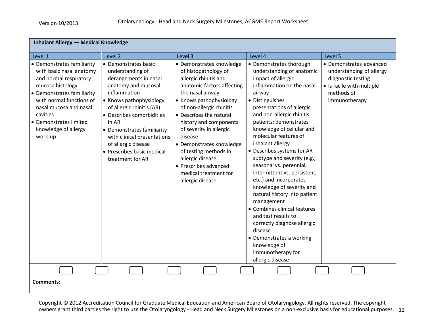| <b>Inhalant Allergy - Medical Knowledge</b>                                                                                                                                                                                                                       |                                                                                                                                                                                                                                                                                                                                              |                                                                                                                                                                                                                                                                                                                                                                                                                              |                                                                                                                                                                                                                                                                                                                                                                                                                                                                                                                                                                                                                                                                                                                       |                                                                                                                                       |  |  |
|-------------------------------------------------------------------------------------------------------------------------------------------------------------------------------------------------------------------------------------------------------------------|----------------------------------------------------------------------------------------------------------------------------------------------------------------------------------------------------------------------------------------------------------------------------------------------------------------------------------------------|------------------------------------------------------------------------------------------------------------------------------------------------------------------------------------------------------------------------------------------------------------------------------------------------------------------------------------------------------------------------------------------------------------------------------|-----------------------------------------------------------------------------------------------------------------------------------------------------------------------------------------------------------------------------------------------------------------------------------------------------------------------------------------------------------------------------------------------------------------------------------------------------------------------------------------------------------------------------------------------------------------------------------------------------------------------------------------------------------------------------------------------------------------------|---------------------------------------------------------------------------------------------------------------------------------------|--|--|
| Level 1                                                                                                                                                                                                                                                           | Level 2                                                                                                                                                                                                                                                                                                                                      | Level 3                                                                                                                                                                                                                                                                                                                                                                                                                      | Level 4                                                                                                                                                                                                                                                                                                                                                                                                                                                                                                                                                                                                                                                                                                               | Level 5                                                                                                                               |  |  |
| • Demonstrates familiarity<br>with basic nasal anatomy<br>and normal respiratory<br>mucosa histology<br>• Demonstrates familiarity<br>with normal functions of<br>nasal mucosa and nasal<br>cavities<br>• Demonstrates limited<br>knowledge of allergy<br>work-up | • Demonstrates basic<br>understanding of<br>derangements in nasal<br>anatomy and mucosal<br>inflammation<br>• Knows pathophysiology<br>of allergic rhinitis (AR)<br>• Describes comorbidities<br>in AR<br>• Demonstrates familiarity<br>with clinical presentations<br>of allergic disease<br>• Prescribes basic medical<br>treatment for AR | • Demonstrates knowledge<br>of histopathology of<br>allergic rhinitis and<br>anatomic factors affecting<br>the nasal airway<br>• Knows pathophysiology<br>of non-allergic rhinitis<br>• Describes the natural<br>history and components<br>of severity in allergic<br>disease<br>• Demonstrates knowledge<br>of testing methods in<br>allergic disease<br>• Prescribes advanced<br>medical treatment for<br>allergic disease | • Demonstrates thorough<br>understanding of anatomic<br>impact of allergic<br>inflammation on the nasal<br>airway<br>• Distinguishes<br>presentations of allergic<br>and non-allergic rhinitis<br>patients; demonstrates<br>knowledge of cellular and<br>molecular features of<br>inhalant allergy<br>• Describes systems for AR<br>subtype and severity (e.g.,<br>seasonal vs. perennial,<br>intermittent vs. persistent,<br>etc.) and incorporates<br>knowledge of severity and<br>natural history into patient<br>management<br>• Combines clinical features<br>and test results to<br>correctly diagnose allergic<br>disease<br>• Demonstrates a working<br>knowledge of<br>immunotherapy for<br>allergic disease | • Demonstrates advanced<br>understanding of allergy<br>diagnostic testing<br>• Is facile with multiple<br>methods of<br>immunotherapy |  |  |
|                                                                                                                                                                                                                                                                   |                                                                                                                                                                                                                                                                                                                                              |                                                                                                                                                                                                                                                                                                                                                                                                                              |                                                                                                                                                                                                                                                                                                                                                                                                                                                                                                                                                                                                                                                                                                                       |                                                                                                                                       |  |  |
| <b>Comments:</b>                                                                                                                                                                                                                                                  |                                                                                                                                                                                                                                                                                                                                              |                                                                                                                                                                                                                                                                                                                                                                                                                              |                                                                                                                                                                                                                                                                                                                                                                                                                                                                                                                                                                                                                                                                                                                       |                                                                                                                                       |  |  |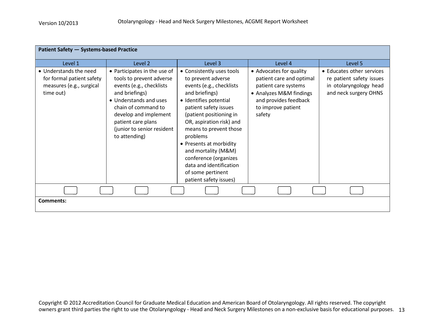| <b>Patient Safety - Systems-based Practice</b>                                               |                                                                                                                                                                                                                                                       |                                                                                                                                                                                                                                                                                                                                                                                                    |                                                                                                                                                                 |                                                                                                          |  |  |
|----------------------------------------------------------------------------------------------|-------------------------------------------------------------------------------------------------------------------------------------------------------------------------------------------------------------------------------------------------------|----------------------------------------------------------------------------------------------------------------------------------------------------------------------------------------------------------------------------------------------------------------------------------------------------------------------------------------------------------------------------------------------------|-----------------------------------------------------------------------------------------------------------------------------------------------------------------|----------------------------------------------------------------------------------------------------------|--|--|
| Level 1                                                                                      | Level 2                                                                                                                                                                                                                                               | Level 3                                                                                                                                                                                                                                                                                                                                                                                            | Level 4                                                                                                                                                         | Level 5                                                                                                  |  |  |
| • Understands the need<br>for formal patient safety<br>measures (e.g., surgical<br>time out) | • Participates in the use of<br>tools to prevent adverse<br>events (e.g., checklists<br>and briefings)<br>• Understands and uses<br>chain of command to<br>develop and implement<br>patient care plans<br>(junior to senior resident<br>to attending) | • Consistently uses tools<br>to prevent adverse<br>events (e.g., checklists<br>and briefings)<br>· Identifies potential<br>patient safety issues<br>(patient positioning in<br>OR, aspiration risk) and<br>means to prevent those<br>problems<br>• Presents at morbidity<br>and mortality (M&M)<br>conference (organizes<br>data and identification<br>of some pertinent<br>patient safety issues) | • Advocates for quality<br>patient care and optimal<br>patient care systems<br>• Analyzes M&M findings<br>and provides feedback<br>to improve patient<br>safety | • Educates other services<br>re patient safety issues<br>in otolaryngology head<br>and neck surgery OHNS |  |  |
|                                                                                              |                                                                                                                                                                                                                                                       |                                                                                                                                                                                                                                                                                                                                                                                                    |                                                                                                                                                                 |                                                                                                          |  |  |
| Comments:                                                                                    |                                                                                                                                                                                                                                                       |                                                                                                                                                                                                                                                                                                                                                                                                    |                                                                                                                                                                 |                                                                                                          |  |  |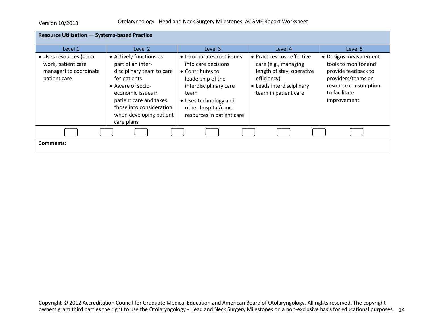| <b>Resource Utilization - Systems-based Practice</b>                                     |                                                                                                                                                                                                                                     |                                                                                                                                                                                                             |                                                                                                                                                     |                                                                                                                                                    |  |
|------------------------------------------------------------------------------------------|-------------------------------------------------------------------------------------------------------------------------------------------------------------------------------------------------------------------------------------|-------------------------------------------------------------------------------------------------------------------------------------------------------------------------------------------------------------|-----------------------------------------------------------------------------------------------------------------------------------------------------|----------------------------------------------------------------------------------------------------------------------------------------------------|--|
| Level 1                                                                                  | Level 2                                                                                                                                                                                                                             | Level 3                                                                                                                                                                                                     | Level 4                                                                                                                                             | Level 5                                                                                                                                            |  |
| • Uses resources (social<br>work, patient care<br>manager) to coordinate<br>patient care | • Actively functions as<br>part of an inter-<br>disciplinary team to care<br>for patients<br>• Aware of socio-<br>economic issues in<br>patient care and takes<br>those into consideration<br>when developing patient<br>care plans | • Incorporates cost issues<br>into care decisions<br>• Contributes to<br>leadership of the<br>interdisciplinary care<br>team<br>• Uses technology and<br>other hospital/clinic<br>resources in patient care | • Practices cost-effective<br>care (e.g., managing<br>length of stay, operative<br>efficiency)<br>• Leads interdisciplinary<br>team in patient care | • Designs measurement<br>tools to monitor and<br>provide feedback to<br>providers/teams on<br>resource consumption<br>to facilitate<br>improvement |  |
|                                                                                          |                                                                                                                                                                                                                                     |                                                                                                                                                                                                             |                                                                                                                                                     |                                                                                                                                                    |  |
| Comments:                                                                                |                                                                                                                                                                                                                                     |                                                                                                                                                                                                             |                                                                                                                                                     |                                                                                                                                                    |  |
|                                                                                          |                                                                                                                                                                                                                                     |                                                                                                                                                                                                             |                                                                                                                                                     |                                                                                                                                                    |  |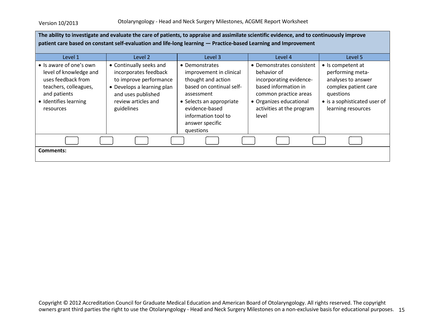| The ability to investigate and evaluate the care of patients, to appraise and assimilate scientific evidence, and to continuously improve<br>patient care based on constant self-evaluation and life-long learning - Practice-based Learning and Improvement |                                                                                                                                                                     |                                                                                                                                                                                                                |                                                                                                                                                                                       |                                                                                                                                                        |  |
|--------------------------------------------------------------------------------------------------------------------------------------------------------------------------------------------------------------------------------------------------------------|---------------------------------------------------------------------------------------------------------------------------------------------------------------------|----------------------------------------------------------------------------------------------------------------------------------------------------------------------------------------------------------------|---------------------------------------------------------------------------------------------------------------------------------------------------------------------------------------|--------------------------------------------------------------------------------------------------------------------------------------------------------|--|
| Level 1                                                                                                                                                                                                                                                      | Level 2                                                                                                                                                             | Level 3                                                                                                                                                                                                        | Level 4                                                                                                                                                                               | Level 5                                                                                                                                                |  |
| • Is aware of one's own<br>level of knowledge and<br>uses feedback from<br>teachers, colleagues,<br>and patients<br>• Identifies learning<br>resources                                                                                                       | • Continually seeks and<br>incorporates feedback<br>to improve performance<br>• Develops a learning plan<br>and uses published<br>review articles and<br>guidelines | • Demonstrates<br>improvement in clinical<br>thought and action<br>based on continual self-<br>assessment<br>• Selects an appropriate<br>evidence-based<br>information tool to<br>answer specific<br>questions | • Demonstrates consistent<br>behavior of<br>incorporating evidence-<br>based information in<br>common practice areas<br>• Organizes educational<br>activities at the program<br>level | • Is competent at<br>performing meta-<br>analyses to answer<br>complex patient care<br>questions<br>• is a sophisticated user of<br>learning resources |  |
|                                                                                                                                                                                                                                                              |                                                                                                                                                                     |                                                                                                                                                                                                                |                                                                                                                                                                                       |                                                                                                                                                        |  |
| Comments:                                                                                                                                                                                                                                                    |                                                                                                                                                                     |                                                                                                                                                                                                                |                                                                                                                                                                                       |                                                                                                                                                        |  |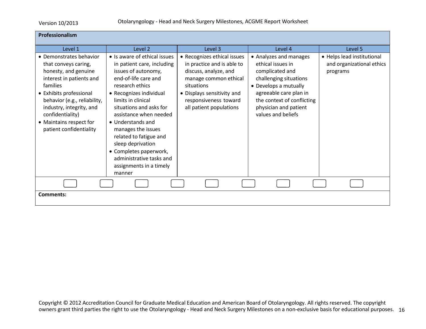| Professionalism                                                                                                                                                                                                                                                                  |                                                                                                                                                                                                                                                                                                                                                                                                                         |                                                                                                                                                                                                             |                                                                                                                                                                                                                          |                                                                     |
|----------------------------------------------------------------------------------------------------------------------------------------------------------------------------------------------------------------------------------------------------------------------------------|-------------------------------------------------------------------------------------------------------------------------------------------------------------------------------------------------------------------------------------------------------------------------------------------------------------------------------------------------------------------------------------------------------------------------|-------------------------------------------------------------------------------------------------------------------------------------------------------------------------------------------------------------|--------------------------------------------------------------------------------------------------------------------------------------------------------------------------------------------------------------------------|---------------------------------------------------------------------|
| Level 1                                                                                                                                                                                                                                                                          | Level 2                                                                                                                                                                                                                                                                                                                                                                                                                 | Level 3                                                                                                                                                                                                     | Level 4                                                                                                                                                                                                                  | Level 5                                                             |
| • Demonstrates behavior<br>that conveys caring,<br>honesty, and genuine<br>interest in patients and<br>families<br>• Exhibits professional<br>behavior (e.g., reliability,<br>industry, integrity, and<br>confidentiality)<br>• Maintains respect for<br>patient confidentiality | • Is aware of ethical issues<br>in patient care, including<br>issues of autonomy,<br>end-of-life care and<br>research ethics<br>• Recognizes individual<br>limits in clinical<br>situations and asks for<br>assistance when needed<br>• Understands and<br>manages the issues<br>related to fatigue and<br>sleep deprivation<br>• Completes paperwork,<br>administrative tasks and<br>assignments in a timely<br>manner | • Recognizes ethical issues<br>in practice and is able to<br>discuss, analyze, and<br>manage common ethical<br>situations<br>• Displays sensitivity and<br>responsiveness toward<br>all patient populations | • Analyzes and manages<br>ethical issues in<br>complicated and<br>challenging situations<br>• Develops a mutually<br>agreeable care plan in<br>the context of conflicting<br>physician and patient<br>values and beliefs | • Helps lead institutional<br>and organizational ethics<br>programs |
|                                                                                                                                                                                                                                                                                  |                                                                                                                                                                                                                                                                                                                                                                                                                         |                                                                                                                                                                                                             |                                                                                                                                                                                                                          |                                                                     |
| <b>Comments:</b>                                                                                                                                                                                                                                                                 |                                                                                                                                                                                                                                                                                                                                                                                                                         |                                                                                                                                                                                                             |                                                                                                                                                                                                                          |                                                                     |